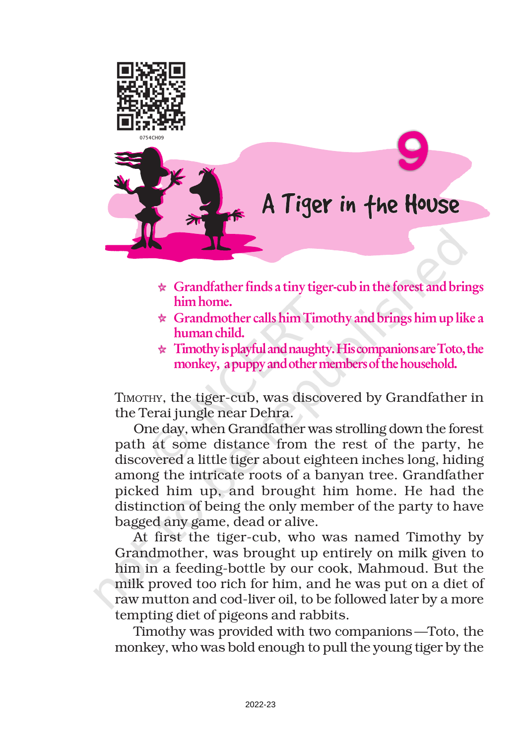

- $\star$  Grandfather finds a tiny tiger-cub in the forest and brings him home.
- $\star$  Grandmother calls him Timothy and brings him up like a human child.
- $\star$  Timothy is playful and naughty. His companions are Toto, the monkey, a puppy and other members of the household.

TIMOTHY, the tiger-cub, was discovered by Grandfather in the Terai jungle near Dehra.

One day, when Grandfather was strolling down the forest path at some distance from the rest of the party, he discovered a little tiger about eighteen inches long, hiding among the intricate roots of a banyan tree. Grandfather picked him up, and brought him home. He had the distinction of being the only member of the party to have bagged any game, dead or alive.

At first the tiger-cub, who was named Timothy by Grandmother, was brought up entirely on milk given to him in a feeding-bottle by our cook, Mahmoud. But the milk proved too rich for him, and he was put on a diet of raw mutton and cod-liver oil, to be followed later by a more tempting diet of pigeons and rabbits.

Timothy was provided with two companions—Toto, the monkey, who was bold enough to pull the young tiger by the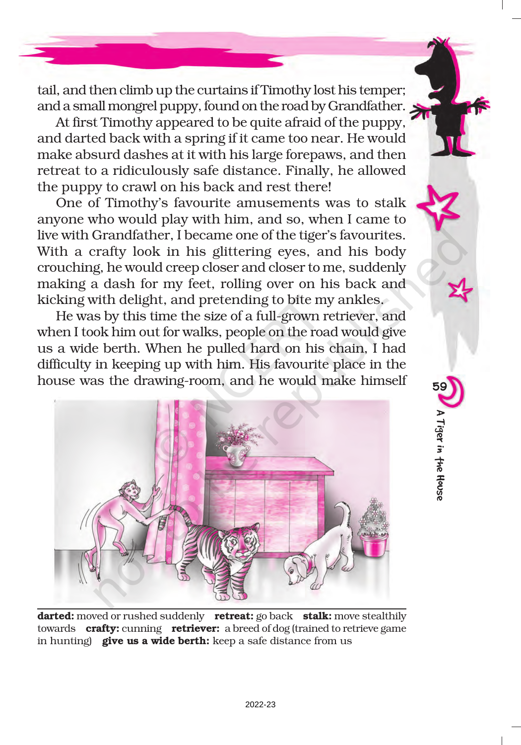tail, and then climb up the curtains if Timothy lost his temper; and a small mongrel puppy, found on the road by Grandfather.

At first Timothy appeared to be quite afraid of the puppy, and darted back with a spring if it came too near. He would make absurd dashes at it with his large forepaws, and then retreat to a ridiculously safe distance. Finally, he allowed the puppy to crawl on his back and rest there!

One of Timothy's favourite amusements was to stalk anyone who would play with him, and so, when I came to live with Grandfather, I became one of the tiger's favourites. With a crafty look in his glittering eyes, and his body crouching, he would creep closer and closer to me, suddenly making a dash for my feet, rolling over on his back and kicking with delight, and pretending to bite my ankles.

He was by this time the size of a full-grown retriever, and when I took him out for walks, people on the road would give us a wide berth. When he pulled hard on his chain, I had difficulty in keeping up with him. His favourite place in the house was the drawing-room, and he would make himself

59

A Tiger in the House

A Tiger in the House



darted: moved or rushed suddenly retreat: go back stalk: move stealthily towards crafty: cunning retriever: a breed of dog (trained to retrieve game in hunting) **give us a wide berth:** keep a safe distance from us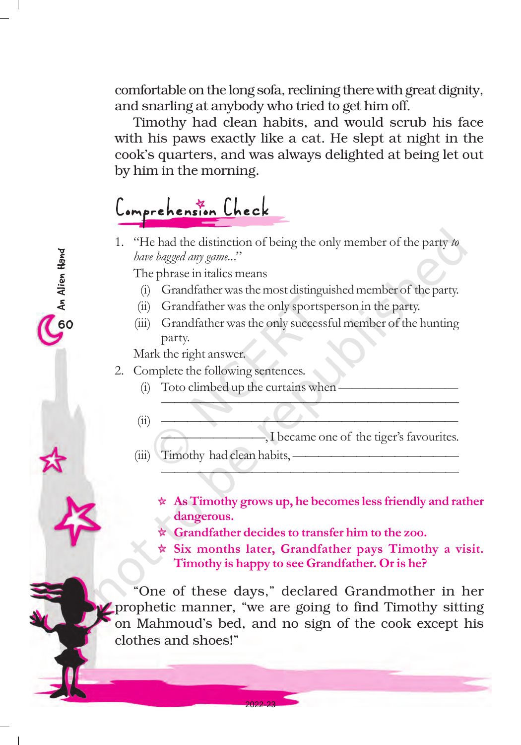comfortable on the long sofa, reclining there with great dignity, and snarling at anybody who tried to get him off.

Timothy had clean habits, and would scrub his face with his paws exactly like a cat. He slept at night in the cook's quarters, and was always delighted at being let out by him in the morning.

## omprehension Check

1. "He had the distinction of being the only member of the party to have bagged any game..."

The phrase in italics means

- (i) Grandfather was the most distinguished member of the party.
- (ii) Grandfather was the only sportsperson in the party.
- (iii) Grandfather was the only successful member of the hunting party.

Mark the right answer.

- 2. Complete the following sentences.
	- $(i)$  Toto climbed up the curtains when  $\overline{\phantom{a}}$
	- (ii) ——————————————————————— -, I became one of the tiger's favourites.

———————————————————————

———————————————————————

- (iii) Timothy had clean habits, -
	- $\star$  As Timothy grows up, he becomes less friendly and rather dangerous.
	- Grandfather decides to transfer him to the zoo.
	- $\star$  Six months later, Grandfather pays Timothy a visit. Timothy is happy to see Grandfather. Or is he?

"One of these days," declared Grandmother in her prophetic manner, "we are going to find Timothy sitting on Mahmoud's bed, and no sign of the cook except his clothes and shoes!"

2022-23

OD An Alien Hand<br>O

O An Alien Hand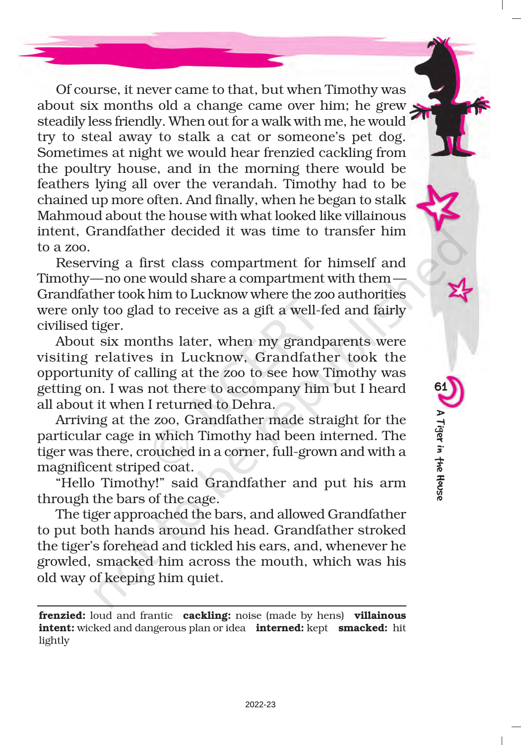Of course, it never came to that, but when Timothy was about six months old a change came over him; he grew steadily less friendly. When out for a walk with me, he would try to steal away to stalk a cat or someone's pet dog. Sometimes at night we would hear frenzied cackling from the poultry house, and in the morning there would be feathers lying all over the verandah. Timothy had to be chained up more often. And finally, when he began to stalk Mahmoud about the house with what looked like villainous intent, Grandfather decided it was time to transfer him to a zoo.

Reserving a first class compartment for himself and Timothy—no one would share a compartment with them— Grandfather took him to Lucknow where the zoo authorities were only too glad to receive as a gift a well-fed and fairly civilised tiger.

About six months later, when my grandparents were visiting relatives in Lucknow, Grandfather took the opportunity of calling at the zoo to see how Timothy was getting on. I was not there to accompany him but I heard all about it when I returned to Dehra.

Arriving at the zoo, Grandfather made straight for the particular cage in which Timothy had been interned. The tiger was there, crouched in a corner, full-grown and with a magnificent striped coat.

"Hello Timothy!" said Grandfather and put his arm through the bars of the cage.

The tiger approached the bars, and allowed Grandfather to put both hands around his head. Grandfather stroked the tiger's forehead and tickled his ears, and, whenever he growled, smacked him across the mouth, which was his old way of keeping him quiet.

frenzied: loud and frantic cackling: noise (made by hens) villainous **intent:** wicked and dangerous plan or idea **interned:** kept **smacked:** hit lightly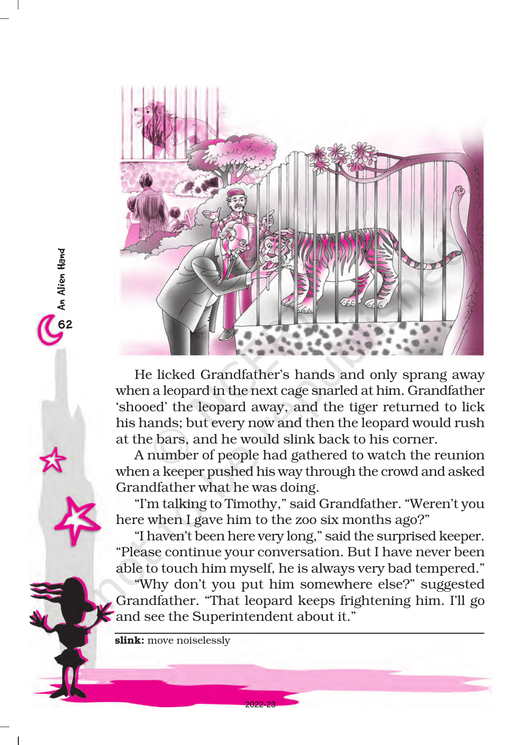

He licked Grandfather's hands and only sprang away when a leopard in the next cage snarled at him. Grandfather 'shooed' the leopard away, and the tiger returned to lick his hands; but every now and then the leopard would rush at the bars, and he would slink back to his corner.

A number of people had gathered to watch the reunion when a keeper pushed his way through the crowd and asked Grandfather what he was doing.

"I'm talking to Timothy," said Grandfather. "Weren't you here when I gave him to the zoo six months ago?"

"I haven't been here very long," said the surprised keeper. "Please continue your conversation. But I have never been able to touch him myself, he is always very bad tempered."

"Why don't you put him somewhere else?" suggested Grandfather. "That leopard keeps frightening him. I'll go and see the Superintendent about it."

2022-23

slink: move noiselessly

OD An Alien Hand<br>N

Co An Alien Hand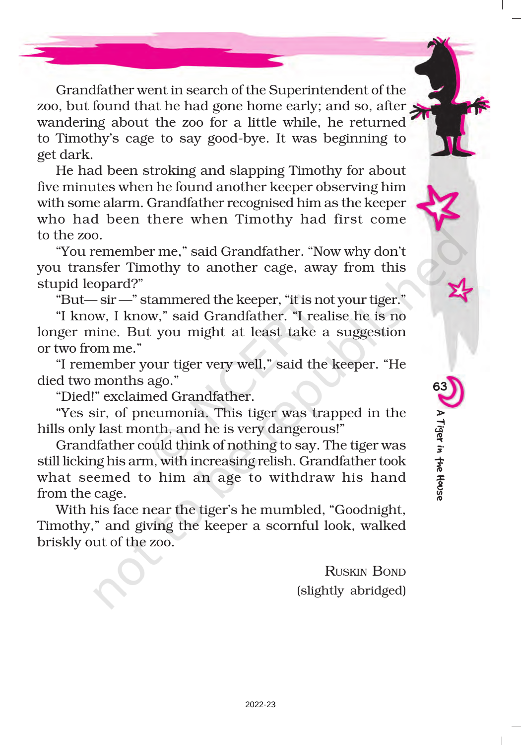Grandfather went in search of the Superintendent of the zoo, but found that he had gone home early; and so, after wandering about the zoo for a little while, he returned to Timothy's cage to say good-bye. It was beginning to get dark.

He had been stroking and slapping Timothy for about five minutes when he found another keeper observing him with some alarm. Grandfather recognised him as the keeper who had been there when Timothy had first come to the zoo.

"You remember me," said Grandfather. "Now why don't you transfer Timothy to another cage, away from this stupid leopard?"

"But— sir —" stammered the keeper, "it is not your tiger."

"I know, I know," said Grandfather. "I realise he is no longer mine. But you might at least take a suggestion or two from me."

"I remember your tiger very well," said the keeper. "He died two months ago."

"Died!" exclaimed Grandfather.

"Yes sir, of pneumonia. This tiger was trapped in the hills only last month, and he is very dangerous!"

Grandfather could think of nothing to say. The tiger was still licking his arm, with increasing relish. Grandfather took what seemed to him an age to withdraw his hand from the cage.

With his face near the tiger's he mumbled, "Goodnight, Timothy," and giving the keeper a scornful look, walked briskly out of the zoo.

> RUSKIN BOND (slightly abridged)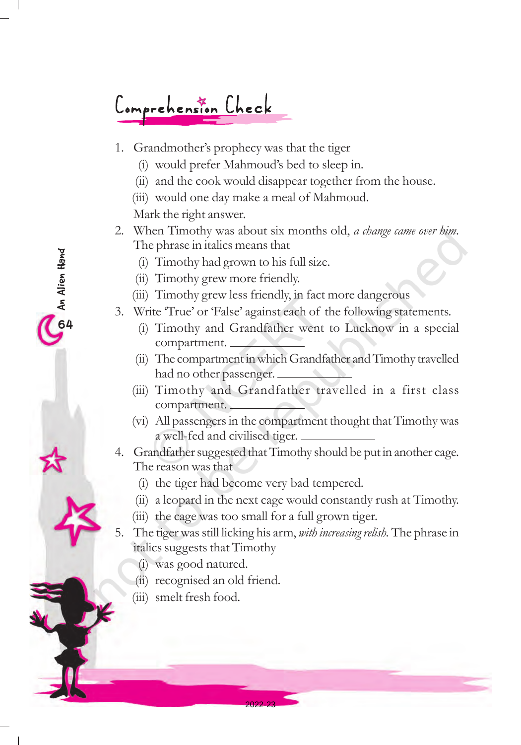# Comprehension Check

- 1. Grandmother's prophecy was that the tiger
	- (i) would prefer Mahmoud's bed to sleep in.
	- (ii) and the cook would disappear together from the house.
	- (iii) would one day make a meal of Mahmoud.

Mark the right answer.

OD An Alien Hand<br><del>P</del>

On An Alien Hand

- 2. When Timothy was about six months old, a change came over him. The phrase in italics means that
	- (i) Timothy had grown to his full size.
	- (ii) Timothy grew more friendly.
	- (iii) Timothy grew less friendly, in fact more dangerous
- 3. Write 'True' or 'False' against each of the following statements.
	- (i) Timothy and Grandfather went to Lucknow in a special compartment.
	- (ii) The compartment in which Grandfather and Timothy travelled had no other passenger.
	- (iii) Timothy and Grandfather travelled in a first class compartment.
	- (vi) All passengers in the compartment thought that Timothy was a well-fed and civilised tiger.
- 4. Grandfather suggested that Timothy should be put in another cage. The reason was that
	- (i) the tiger had become very bad tempered.
	- (ii) a leopard in the next cage would constantly rush at Timothy.
	- (iii) the cage was too small for a full grown tiger.

2022-23

- 5. The tiger was still licking his arm, with increasing relish. The phrase in italics suggests that Timothy
	- (i) was good natured.
	- (ii) recognised an old friend.
	- (iii) smelt fresh food.